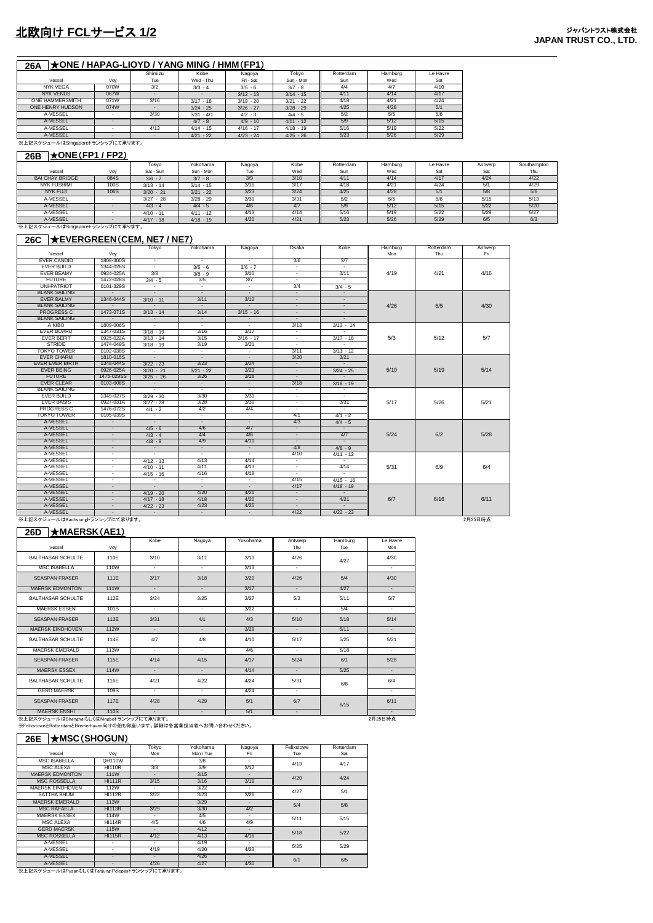## **26A** ★**ONE / HAPAG-LIOYD / YANG MING / HMM**(**FP1**)

|                                  |      | Shimizu | Kobe         | Nagoya      | Tokvo       | Rotterdam | Hamburg | Le Havre |  |
|----------------------------------|------|---------|--------------|-------------|-------------|-----------|---------|----------|--|
| Vessel                           | Vov  | Tue     | Wed - Thu    | Fri - Sat   | Sun - Mon   | Sun       | Wed     | Sat      |  |
| <b>NYK VEGA</b>                  | 070W | 3/2     | $3/3 - 4$    | $3/5 - 6$   | $3/7 - 8$   | 4/4       | 4/7     | 4/10     |  |
| <b>NYK VENUS</b>                 | 067W |         |              | $3/12 - 13$ | $3/14 - 15$ | 4/11      | 4/14    | 4/17     |  |
| <b>ONE HAMMERSMITH</b>           | 071W | 3/16    | $3/17 - 18$  | $3/19 - 20$ | $3/21 - 22$ | 4/18      | 4/21    | 4/24     |  |
| ONE HENRY HUDSON                 | 074W |         | $3/24 - 25$  | $3/26 - 27$ | $3/28 - 29$ | 4/25      | 4/28    | 5/1      |  |
| A-VESSEL                         |      | 3/30    | $3/31 - 4/1$ | $4/2 - 3$   | $4/4 - 5$   | 5/2       | 5/5     | 5/8      |  |
| A-VESSEL                         |      |         | $4/7 - 8$    | $4/9 - 10$  | $4/11 - 12$ | 5/9       | 5/12    | 5/15     |  |
| A-VESSEL                         |      | 4/13    | $4/14 - 15$  | $4/16 - 17$ | $4/18 - 19$ | 5/16      | 5/19    | 5/22     |  |
| A-VESSEL                         |      |         | $4/21 - 22$  | $4/23 - 24$ | $4/25 - 26$ | 5/23      | 5/26    | 5/29     |  |
| ※上記スケジュールはSingaporeトランシップにて承ります。 |      |         |              |             |             |           |         |          |  |

## **26B** ★**ONE**(**FP1 / FP2**)

| 201                              |      |             |             |        |      |           |         |          |         |             |
|----------------------------------|------|-------------|-------------|--------|------|-----------|---------|----------|---------|-------------|
|                                  |      | Tokvo       | Yokohama    | Nagoya | Kobe | Rotterdam | Hamburg | Le Havre | Antwerp | Southampton |
| Vessel                           | Vov  | Sat - Sun   | Sun - Mon   | Tue    | Wed  | Sun       | Wed     | Sat      | Sat     | Thu         |
| <b>BAI CHAY BRIDGE</b>           | 084S | $3/6 - 7$   | $3/7 - 8$   | 3/9    | 3/10 | 4/11      | 4/14    | 4/17     | 4/24    | 4/22        |
| <b>NYK FUSHIMI</b>               | 100S | $3/13 - 14$ | $3/14 - 15$ | 3/16   | 3/17 | 4/18      | 4/21    | 4/24     | 5/1     | 4/29        |
| <b>NYK FUJI</b>                  | 106S | $3/20 - 21$ | $3/21 - 22$ | 3/23   | 3/24 | 4/25      | 4/28    | 5/1      | 5/8     | 5/6         |
| A-VESSEL                         |      | $3/27 - 28$ | $3/28 - 29$ | 3/30   | 3/31 | 5/2       | 5/5     | 5/8      | 5/15    | 5/13        |
| A-VESSEL                         |      | $4/3 - 4$   | $4/4 - 5$   | 4/6    | 4/7  | 5/9       | 5/12    | 5/15     | 5/22    | 5/20        |
| A-VESSEL                         |      | $4/10 - 11$ | $4/11 - 12$ | 4/13   | 4/14 | 5/16      | 5/19    | 5/22     | 5/29    | 5/27        |
| A-VESSEL                         |      | $4/17 - 18$ | $4/18 - 19$ | 4/20   | 4/21 | 5/23      | 5/26    | 5/29     | 6/5     | 6/3         |
| ※上記スケジュールはSingaporeトランシップにて承ります。 |      |             |             |        |      |           |         |          |         |             |

#### **26C** ★**EVERGREEN**(**CEM, NE7 / NE7**)

|                                  |                          | Tokyo                    | Yokohama                 | Nagoya                   | Osaka                    | Kobe                     | Hamburg | Rotterdam | Antwerp |
|----------------------------------|--------------------------|--------------------------|--------------------------|--------------------------|--------------------------|--------------------------|---------|-----------|---------|
| Vessel                           | Vov                      |                          |                          |                          |                          |                          | Mon     | Thu       | Fri     |
| <b>EVER CANDID</b>               | 1808-300S                | $\sim$                   | $\sim$                   | $\sim$                   | 3/6                      | 3/7                      |         |           |         |
| <b>EVER BUILD</b>                | 1344-026S                | $\sim$                   | $3/5 - 6$                | $3/6 - 7$                | $\sim$                   |                          |         |           |         |
| <b>EVER BEAMY</b>                | 0924-025A                | 3/8                      | $3/8 - 9$                | 3/10                     | Ξ                        | 3/11                     | 4/19    | 4/21      | 4/16    |
| <b>FUTURE</b>                    | 1472-028S                | $3/4 - 5$                | 3/5                      | 3/7                      | $\sim$                   | $\overline{\phantom{a}}$ |         |           |         |
| <b>UNI-PATRIOT</b>               | 0101-329S                | $\sim$                   | $\sim$                   | $\sim$                   | 3/4                      | $3/4 - 5$                |         |           |         |
| <b>BLANK SAILING</b>             |                          |                          | $\overline{\phantom{a}}$ | $\sim$                   | $\sim$                   |                          |         |           |         |
| <b>EVER BALMY</b>                | 1346-044S                | $3/10 - 11$              | 3/11                     | 3/12                     | $\sim$                   | $\sim$                   |         |           |         |
| <b>BLANK SAILING</b>             |                          |                          | $\overline{\phantom{a}}$ | $\sim$                   | $\sim$                   | $\overline{\phantom{a}}$ | 4/26    | 5/5       | 4/30    |
| <b>PROGRESS C</b>                | 1473-071S                | $3/13 - 14$              | 3/14                     | $3/15 - 16$              | $\overline{\phantom{a}}$ | $\overline{\phantom{a}}$ |         |           |         |
| <b>BLANK SAILING</b>             |                          |                          | $\sim$                   |                          | $\sim$                   |                          |         |           |         |
| A KIBO                           | 1809-006S                | $\sim$                   | $\sim$                   | $\sim$                   | 3/13                     | $3/13 - 14$              |         |           |         |
| <b>EVER BOARD</b>                | 1347-031S                | $3/18 - 19$              | 3/16                     | 3/17                     | $\sim$                   |                          |         |           |         |
| <b>EVER BEFIT</b>                | 0925-022A                | $3/13 - 14$              | 3/15                     | $3/16 - 17$              | $\sim$                   | $3/17 - 18$              | 5/3     | 5/12      | 5/7     |
| <b>STRIDE</b>                    | 1474-049S                | $3/18 - 19$              | 3/19                     | 3/21                     | $\sim$                   | π                        |         |           |         |
| <b>TOKYO TOWER</b>               | 0102-038S                | $\sim$                   | $\sim$                   | $\sim$                   | 3/11                     | $3/11 - 12$              |         |           |         |
| <b>EVER CHARM</b>                | 1810-015S                | $\sim$                   | $\sim$                   | $\overline{\phantom{a}}$ | 3/20                     | 3/21                     |         |           |         |
| <b>EVER EVER BIRTH</b>           | 1348-044S                | $3/22 - 23$              | 3/23                     | 3/24                     | $\overline{\phantom{a}}$ |                          |         |           |         |
| <b>FVFR BEING</b>                | 0926-025A                | $3/20 - 21$              | $3/21 - 22$              | 3/23                     | $\sim$                   | $3/24 - 25$              | 5/10    | 5/19      | 5/14    |
| <b>FUTURE</b>                    | 1475-029SS               | $3/25 - 26$              | 3/26                     | 3/28                     | $\overline{\phantom{a}}$ |                          |         |           |         |
| <b>EVER CLEAR</b>                | 0103-008S                | $\sim$                   | $\sim$                   | $\sim$                   | 3/18                     | $3/18 - 19$              |         |           |         |
| <b>BLANK SAILING</b>             |                          |                          |                          | $\sim$                   | $\sim$                   |                          |         |           |         |
| <b>EVER BUILD</b>                | 1349-027S                | $3/29 - 30$              | 3/30                     | 3/31                     | Ξ                        | Ξ                        |         |           |         |
| <b>EVER BASIS</b>                | 0927-031A                | $3/27 - 28$              | 3/28                     | 3/30                     | $\sim$                   | 3/31                     | 5/17    | 5/26      | 5/21    |
| <b>PROGRESS C</b>                | 1476-072S                | $4/1 - 2$                | 4/2                      | 4/4                      | $\sim$                   | $\sim$                   |         |           |         |
| <b>TOKYO TOWER</b>               | 0105-039S                | $\sim$                   | $\sim$                   | $\sim$                   | 4/1                      | $4/1 - 2$                |         |           |         |
| A-VESSEL                         | $\overline{\phantom{a}}$ | $\overline{\phantom{a}}$ | $\overline{\phantom{a}}$ | $\overline{\phantom{a}}$ | 4/3                      | $4/4 - 5$                |         |           |         |
| A-VESSEL                         | $\sim$                   | $4/5 - 6$                | 4/6                      | 4/7                      | $\sim$                   |                          |         |           |         |
| A-VESSEL                         |                          | $4/3 - 4$                | 4/4                      | 4/6                      | $\sim$                   | 4/7                      | 5/24    | 6/2       | 5/28    |
| A-VESSEL                         | $\overline{\phantom{a}}$ | $4/8 - 9$                | 4/9                      | 4/11                     | $\sim$                   | $\sim$                   |         |           |         |
| A-VESSEL                         | $\overline{\phantom{a}}$ | $\sim$                   | $\sim$                   | $\sim$                   | 4/8                      | $4/8 - 9$                |         |           |         |
| A-VESSEL                         | ٠                        | $\sim$                   | $\sim$                   | $\overline{\phantom{a}}$ | 4/10                     | $4/11 - 12$              |         |           |         |
| A-VESSEL                         | ٠                        | $4/12 - 13$              | 4/13                     | 4/14                     | ÷                        |                          |         |           |         |
| A-VESSEL                         | $\sim$                   | $4/10 - 11$              | 4/11                     | 4/13                     | $\overline{\phantom{a}}$ | 4/14                     | 5/31    | 6/9       | 6/4     |
| A-VESSEL                         | ٠                        | $4/15 - 16$              | 4/16                     | 4/18                     | $\sim$                   |                          |         |           |         |
| A-VESSEL                         | $\sim$                   | $\sim$                   | $\sim$                   | $\sim$                   | 4/15                     | $4/15 - 16$              |         |           |         |
| A-VESSEL                         | $\sim$                   | $\sim$                   | $\sim$                   | $\sim$                   | 4/17                     | $4/18 - 19$              |         |           |         |
| A-VESSEL                         | $\overline{\phantom{a}}$ | $4/19 - 20$              | 4/20                     | 4/21                     | $\sim$                   | $\sim$                   |         |           |         |
| A-VESSEL                         | $\sim$                   | $4/17 - 18$              | 4/18                     | 4/20                     | $\sim$                   | 4/21                     | 6/7     | 6/16      | 6/11    |
| A-VESSEL                         | $\overline{\phantom{a}}$ | $4/22 - 23$              | 4/23                     | 4/25                     | $\sim$                   | $\sim$                   |         |           |         |
| A-VESSEL                         |                          |                          | $\sim$                   | $\sim$                   | 4/22                     | $4/22 - 23$              |         |           |         |
| ※上記スケジュールはKaohsiungトランシップにて承ります。 |                          |                          |                          |                          |                          |                          |         |           | 2月25日時点 |

#### **26D** ★**MAERSK**(**AE1**)

| Vessel                                    | Voy         | Kobe                        | Nagoya                   | Yokohama | Antwerp<br>Thu | Hamburg<br>Tue | Le Havre<br>Mon          |
|-------------------------------------------|-------------|-----------------------------|--------------------------|----------|----------------|----------------|--------------------------|
| <b>BALTHASAR SCHULTE</b>                  | 110E        | 3/10                        | 3/11                     | 3/13     | 4/26           | 4/27           | 4/30                     |
| <b>MSC ISABELLA</b>                       | 110W        | $\sim$                      | ÷.                       | 3/13     | $\sim$         |                | $\sim$                   |
| <b>SEASPAN FRASER</b>                     | 111E        | 3/17                        | 3/18                     | 3/20     | 4/26           | 5/4            | 4/30                     |
| <b>MAERSK EDMONTON</b>                    | <b>111W</b> | $\sim$                      | $\sim$                   | 3/17     | $\sim$         | 4/27           | $\sim$                   |
| <b>BALTHASAR SCHULTE</b>                  | 112E        | 3/24                        | 3/25                     | 3/27     | 5/3            | 5/11           | 5/7                      |
| <b>MAERSK ESSEN</b>                       | 101S        | $\mathcal{L}^{\mathcal{L}}$ | $\sim$                   | 3/22     | $\sim$         | 5/4            | $\sim$                   |
| <b>SEASPAN FRASER</b>                     | 113E        | 3/31                        | 4/1                      | 4/3      | 5/10           | 5/18           | 5/14                     |
| <b>MAERSK EINDHOVEN</b>                   | <b>112W</b> | $\sim$                      | $\sim$                   | 3/29     | $\sim$         | 5/11           | $\sim$                   |
| <b>BALTHASAR SCHULTE</b>                  | 114E        | 4/7                         | 4/8                      | 4/10     | 5/17           | 5/25           | 5/21                     |
| <b>MAERSK EMERALD</b>                     | 113W        | $\sim$                      | $\sim$                   | 4/6      | $\sim$         | 5/18           | $\sim$                   |
| <b>SEASPAN FRASER</b>                     | 115E        | 4/14                        | 4/15                     | 4/17     | 5/24           | 6/1            | 5/28                     |
| <b>MAERSK ESSEX</b>                       | <b>114W</b> | $\sim$                      | $\sim$                   | 4/14     | $\sim$         | 5/25           | $\sim$                   |
| <b>BALTHASAR SCHULTE</b>                  | 116E        | 4/21                        | 4/22                     | 4/24     | 5/31           | 6/8            | 6/4                      |
| <b>GERD MAERSK</b>                        | 109S        | $\sim$                      | $\overline{\phantom{a}}$ | 4/24     | $\sim$         |                | $\overline{\phantom{a}}$ |
| <b>SEASPAN FRASER</b>                     | 117E        | 4/28                        | 4/29                     | 5/1      | 6/7            | 6/15           | 6/11                     |
| <b>MAERSK ENSHI</b>                       | 110S        | $\overline{\phantom{a}}$    | $\sim$                   | 5/1      | $\sim$         |                | $\sim$                   |
| ※上記スケジュールはShanghaiもしくはNingboトランシップにて承ります。 |             |                             |                          |          |                |                | 2月25日時点                  |

※上記スケジュールはShanghaiもしくはNingboトランシップにて承ります。<br>※FelixstoweとRotterdamとBremerhaven向けの船も御座います。詳細は各営業担当者へお問い合わせください。

#### **26E** ★**MSC**(**SHOGUN**)

|                         |               | Tokyo                    | Yokohama  | Nagoya                   | Felixstowe | Rotterdam |  |
|-------------------------|---------------|--------------------------|-----------|--------------------------|------------|-----------|--|
| Vessel                  | Voy           | Mon                      | Mon / Tue | Fri                      | Tue        | Sat       |  |
| MSC ISABELLA            | <b>QH110W</b> | ٠                        | 3/8       | $\overline{\phantom{a}}$ | 4/13       | 4/17      |  |
| <b>MSC ALEXA</b>        | <b>HI110R</b> | 3/8                      | 3/9       | 3/12                     |            |           |  |
| <b>MAERSK EDMONTON</b>  | <b>111W</b>   | $\overline{\phantom{a}}$ | 3/15      | ٠                        | 4/20       | 4/24      |  |
| <b>MSC ROSSELLA</b>     | <b>HI11R</b>  | 3/15                     | 3/16      | 3/19                     |            |           |  |
| <b>MAFRSK FINDHOVEN</b> | <b>112W</b>   | ٠                        | 3/22      | $\overline{\phantom{a}}$ | 4/27       | 5/1       |  |
| <b>SATTHA BHUM</b>      | <b>HI112R</b> | 3/22                     | 3/23      | 3/26                     |            |           |  |
| <b>MAERSK EMERALD</b>   | <b>113W</b>   | -                        | 3/29      | ۰                        | 5/4        | 5/8       |  |
| <b>MSC RAFAELA</b>      | <b>HI113R</b> | 3/29                     | 3/30      | 4/2                      |            |           |  |
| <b>MAERSK ESSEX</b>     | <b>114W</b>   | ٠                        | 4/5       | ۰.                       | 5/11       | 5/15      |  |
| <b>MSC ALEXA</b>        | <b>HI114R</b> | 4/5                      | 4/6       | 4/9                      |            |           |  |
| <b>GERD MAERSK</b>      | <b>115W</b>   | $\overline{\phantom{a}}$ | 4/12      | ۰                        | 5/18       | 5/22      |  |
| <b>MSC ROSSELLA</b>     | <b>HI115R</b> | 4/12                     | 4/13      | 4/16                     |            |           |  |
| A-VESSEL                | ٠             | ۰                        | 4/19      | ۰.                       | 5/25       | 5/29      |  |
| A-VESSEL                | ۰             | 4/19                     | 4/20      | 4/23                     |            |           |  |
| A-VESSEL                | ٠             | ٠                        | 4/26      | ٠                        | 6/1        | 6/5       |  |
| A-VESSEL                | ٠             | 4/26                     | 4/27      | 4/30                     |            |           |  |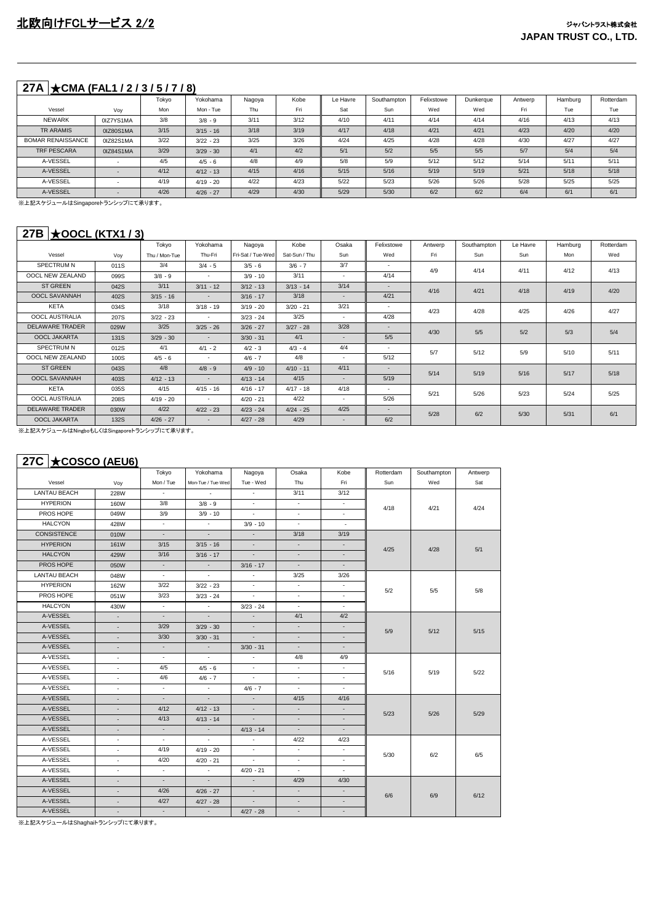# **27A** ★**CMA (FAL1 / 2 / 3 / 5 / 7 / 8)**

|                          |           | Tokyo | Yokohama    | Nagoya | Kobe | Le Havre | Southampton | Felixstowe | Dunkeraue | Antwerp | Hamburg | Rotterdam |
|--------------------------|-----------|-------|-------------|--------|------|----------|-------------|------------|-----------|---------|---------|-----------|
| Vessel                   | Voy       | Mon   | Mon - Tue   | Thu    | Fri  | Sat      | Sun         | Wed        | Wed       | Fri.    | Tue     | Tue       |
| <b>NEWARK</b>            | 0IZ7YS1MA | 3/8   | $3/8 - 9$   | 3/11   | 3/12 | 4/10     | 4/11        | 4/14       | 4/14      | 4/16    | 4/13    | 4/13      |
| TR ARAMIS                | 0IZ80S1MA | 3/15  | $3/15 - 16$ | 3/18   | 3/19 | 4/17     | 4/18        | 4/21       | 4/21      | 4/23    | 4/20    | 4/20      |
| <b>BOMAR RENAISSANCE</b> | 0IZ82S1MA | 3/22  | $3/22 - 23$ | 3/25   | 3/26 | 4/24     | 4/25        | 4/28       | 4/28      | 4/30    | 4/27    | 4/27      |
| TRF PESCARA              | 0IZ84S1MA | 3/29  | $3/29 - 30$ | 4/1    | 4/2  | 5/1      | 5/2         | 5/5        | 5/5       | 5/7     | 5/4     | 5/4       |
| A-VESSEL                 |           | 4/5   | $4/5 - 6$   | 4/8    | 4/9  | 5/8      | 5/9         | 5/12       | 5/12      | 5/14    | 5/11    | 5/11      |
| A-VESSEL                 |           | 4/12  | $4/12 - 13$ | 4/15   | 4/16 | 5/15     | 5/16        | 5/19       | 5/19      | 5/21    | 5/18    | 5/18      |
| A-VESSEL                 |           | 4/19  | $4/19 - 20$ | 4/22   | 4/23 | 5/22     | 5/23        | 5/26       | 5/26      | 5/28    | 5/25    | 5/25      |
| A-VESSEL                 |           | 4/26  | $4/26 - 27$ | 4/29   | 4/30 | 5/29     | 5/30        | 6/2        | 6/2       | 6/4     | 6/1     | 6/1       |

※上記スケジュールはSingaporeトランシップにて承ります。

## **27B** ★**OOCL (KTX1 / 3)**

|                        |      | Tokyo         | Yokohama                 | Nagoya            | Kobe          | Osaka  | Felixstowe               | Antwerp | Southampton | Le Havre | Hamburg | Rotterdam |
|------------------------|------|---------------|--------------------------|-------------------|---------------|--------|--------------------------|---------|-------------|----------|---------|-----------|
| Vessel                 | Voy  | Thu / Mon-Tue | Thu-Fri                  | Fri-Sat / Tue-Wed | Sat-Sun / Thu | Sun    | Wed                      | Fri     | Sun         | Sun      | Mon     | Wed       |
| SPECTRUM N             | 011S | 3/4           | $3/4 - 5$                | $3/5 - 6$         | $3/6 - 7$     | 3/7    | $\overline{\phantom{a}}$ | 4/9     | 4/14        | 4/11     | 4/12    | 4/13      |
| OOCL NEW ZEALAND       | 099S | $3/8 - 9$     | $\overline{\phantom{a}}$ | $3/9 - 10$        | 3/11          | ۰      | 4/14                     |         |             |          |         |           |
| <b>ST GREEN</b>        | 042S | 3/11          | $3/11 - 12$              | $3/12 - 13$       | $3/13 - 14$   | 3/14   | $\sim$                   | 4/16    | 4/21        | 4/18     | 4/19    | 4/20      |
| OOCL SAVANNAH          | 402S | $3/15 - 16$   | $\overline{\phantom{a}}$ | $3/16 - 17$       | 3/18          | ٠.     | 4/21                     |         |             |          |         |           |
| <b>KETA</b>            | 034S | 3/18          | $3/18 - 19$              | $3/19 - 20$       | $3/20 - 21$   | 3/21   | $\sim$                   | 4/23    | 4/28        | 4/25     | 4/26    | 4/27      |
| OOCL AUSTRALIA         | 207S | $3/22 - 23$   | $\overline{\phantom{a}}$ | $3/23 - 24$       | 3/25          | ۰.     | 4/28                     |         |             |          |         |           |
| <b>DELAWARE TRADER</b> | 029W | 3/25          | $3/25 - 26$              | $3/26 - 27$       | $3/27 - 28$   | 3/28   |                          | 4/30    | 5/5         | 5/2      | 5/3     | 5/4       |
| <b>OOCL JAKARTA</b>    | 131S | $3/29 - 30$   | $\overline{\phantom{a}}$ | $3/30 - 31$       | 4/1           | ٠      | 5/5                      |         |             |          |         |           |
| SPECTRUM N             | 012S | 4/1           | $4/1 - 2$                | $4/2 - 3$         | $4/3 - 4$     | 4/4    | ۰.                       | 5/7     | 5/12        | 5/9      | 5/10    | 5/11      |
| OOCL NEW ZEALAND       | 100S | $4/5 - 6$     | ٠                        | $4/6 - 7$         | 4/8           | ٠      | 5/12                     |         |             |          |         |           |
| <b>ST GREEN</b>        | 043S | 4/8           | $4/8 - 9$                | $4/9 - 10$        | $4/10 - 11$   | 4/11   | $\overline{\phantom{a}}$ | 5/14    | 5/19        | 5/16     | 5/17    | 5/18      |
| OOCL SAVANNAH          | 403S | $4/12 - 13$   | $\overline{\phantom{a}}$ | $4/13 - 14$       | 4/15          | ÷.     | 5/19                     |         |             |          |         |           |
| <b>KETA</b>            | 035S | 4/15          | $4/15 - 16$              | $4/16 - 17$       | $4/17 - 18$   | 4/18   | $\sim$                   | 5/21    | 5/26        | 5/23     | 5/24    | 5/25      |
| OOCL AUSTRALIA         | 208S | $4/19 - 20$   | $\sim$                   | $4/20 - 21$       | 4/22          | $\sim$ | 5/26                     |         |             |          |         |           |
| <b>DELAWARE TRADER</b> | 030W | 4/22          | $4/22 - 23$              | $4/23 - 24$       | $4/24 - 25$   | 4/25   | $\overline{\phantom{a}}$ | 5/28    | 6/2         | 5/30     | 5/31    | 6/1       |
| <b>OOCL JAKARTA</b>    | 132S | $4/26 - 27$   | $\overline{\phantom{a}}$ | $4/27 - 28$       | 4/29          | ۰      | 6/2                      |         |             |          |         |           |

※上記スケジュールはNingboもしくはSingaporeトランシップにて承ります。

| 27C $\star$ COSCO (AEU6) |
|--------------------------|
|--------------------------|

|                     |                          | Tokyo                       | Yokohama                    | Nagoya                      | Osaka                       | Kobe                     | Rotterdam | Southampton | Antwerp |
|---------------------|--------------------------|-----------------------------|-----------------------------|-----------------------------|-----------------------------|--------------------------|-----------|-------------|---------|
| Vessel              | Voy                      | Mon / Tue                   | Mon-Tue / Tue-Wed           | Tue - Wed                   | Thu                         | Fri                      | Sun       | Wed         | Sat     |
| <b>LANTAU BEACH</b> | 228W                     | $\sim$                      | ÷                           | $\sim$                      | 3/11                        | 3/12                     |           |             |         |
| <b>HYPERION</b>     | 160W                     | 3/8                         | $3/8 - 9$                   | $\sim$                      | $\sim$                      | $\sim$                   | 4/18      | 4/21        | 4/24    |
| PROS HOPE           | 049W                     | 3/9                         | $3/9 - 10$                  | ÷                           | ÷.                          | $\sim$                   |           |             |         |
| <b>HALCYON</b>      | 428W                     | $\overline{\phantom{a}}$    | $\sim$                      | $3/9 - 10$                  | ÷.                          | $\overline{\phantom{a}}$ |           |             |         |
| CONSISTENCE         | 010W                     | $\sim$                      | $\overline{\phantom{a}}$    | $\overline{\phantom{a}}$    | 3/18                        | 3/19                     |           |             |         |
| <b>HYPERION</b>     | 161W                     | 3/15                        | $3/15 - 16$                 | $\sim$                      | $\mathcal{L}_{\mathcal{A}}$ | $\sim$                   | 4/25      | 4/28        | 5/1     |
| <b>HALCYON</b>      | 429W                     | 3/16                        | $3/16 - 17$                 | ÷.                          | $\blacksquare$              | ÷                        |           |             |         |
| PROS HOPE           | 050W                     | ÷.                          | $\blacksquare$              | $3/16 - 17$                 | $\sim$                      | $\sim$                   |           |             |         |
| <b>LANTAU BEACH</b> | 048W                     | $\mathcal{L}_{\mathcal{A}}$ | $\overline{\phantom{a}}$    | $\mathcal{L}_{\mathcal{A}}$ | 3/25                        | 3/26                     |           |             |         |
| <b>HYPERION</b>     | <b>162W</b>              | 3/22                        | $3/22 - 23$                 | $\sim$                      | $\sim$                      | $\sim$                   | 5/2       | 5/5         | 5/8     |
| PROS HOPE           | 051W                     | 3/23                        | $3/23 - 24$                 | $\sim$                      | ÷.                          | $\sim$                   |           |             |         |
| <b>HALCYON</b>      | 430W                     | $\sim$                      | $\mathcal{L}_{\mathcal{A}}$ | $3/23 - 24$                 | $\sim$                      | $\sim$                   |           |             |         |
| A-VESSEL            | $\sim$                   | $\sim$                      | ä,                          | $\sim$                      | 4/1                         | 4/2                      |           |             |         |
| A-VESSEL            | $\sim$                   | 3/29                        | $3/29 - 30$                 | $\sim$                      | $\blacksquare$              | ٠                        | 5/9       | 5/12        | 5/15    |
| A-VESSEL            | $\sim$                   | 3/30                        | $3/30 - 31$                 | $\sim$                      | $\blacksquare$              | $\sim$                   |           |             |         |
| A-VESSEL            | $\sim$                   | $\sim$                      | $\sim$                      | $3/30 - 31$                 | ÷.                          | ÷.                       |           |             |         |
| A-VESSEL            | $\sim$                   | $\sim$                      | $\mathcal{L}^{\mathcal{A}}$ | $\sim$                      | 4/8                         | 4/9                      |           |             |         |
| A-VESSEL            | ÷                        | 4/5                         | $4/5 - 6$                   | ÷                           | ÷.                          | ÷.                       | 5/16      | 5/19        | 5/22    |
| A-VESSEL            | $\overline{\phantom{a}}$ | 4/6                         | $4/6 - 7$                   | $\sim$                      | $\overline{\phantom{a}}$    | $\sim$                   |           |             |         |
| A-VESSEL            | $\sim$                   | $\sim$                      | $\sim$                      | $4/6 - 7$                   | $\sim$                      | $\sim$                   |           |             |         |
| A-VESSEL            |                          | $\sim$                      | ÷.                          | $\sim$                      | 4/15                        | 4/16                     |           |             |         |
| A-VESSEL            | ÷.                       | 4/12                        | $4/12 - 13$                 | ÷.                          | $\blacksquare$              | $\sim$                   | 5/23      | 5/26        | 5/29    |
| A-VESSEL            | ٠                        | 4/13                        | $4/13 - 14$                 | $\sim$                      | $\blacksquare$              | ÷.                       |           |             |         |
| A-VESSEL            | $\overline{\phantom{a}}$ | $\blacksquare$              | $\overline{\phantom{a}}$    | $4/13 - 14$                 | $\blacksquare$              | $\sim$                   |           |             |         |
| A-VESSEL            | $\sim$                   | ×.                          | $\mathbf{r}$                | $\sim$                      | 4/22                        | 4/23                     |           |             |         |
| A-VESSEL            | $\sim$                   | 4/19                        | $4/19 - 20$                 | $\sim$                      | $\sim$                      | $\sim$                   |           |             |         |
| A-VESSEL            | ÷.                       | 4/20                        | $4/20 - 21$                 | ÷.                          | ÷.                          | $\sim$                   | 5/30      | 6/2         | 6/5     |
| A-VESSEL            | ٠                        | $\sim$                      | $\overline{\phantom{a}}$    | $4/20 - 21$                 | ÷.                          | $\sim$                   |           |             |         |
| A-VESSEL            | $\overline{\phantom{a}}$ | $\sim$                      | $\overline{\phantom{a}}$    | $\sim$                      | 4/29                        | 4/30                     |           |             |         |
| A-VESSEL            | $\sim$                   | 4/26                        | $4/26 - 27$                 | $\sim$                      | $\mathcal{L}_{\mathcal{A}}$ | $\sim$                   |           |             |         |
| A-VESSEL            |                          | 4/27                        | $4/27 - 28$                 | $\sim$                      | ÷.                          | ÷.                       | 6/6       | 6/9         | 6/12    |
| A-VESSEL            | ÷.                       | ٠                           | $\overline{\phantom{a}}$    | $4/27 - 28$                 | $\overline{\phantom{a}}$    | $\sim$                   |           |             |         |

。<br>※上記スケジュールはShaghaiトランシップにて承ります。